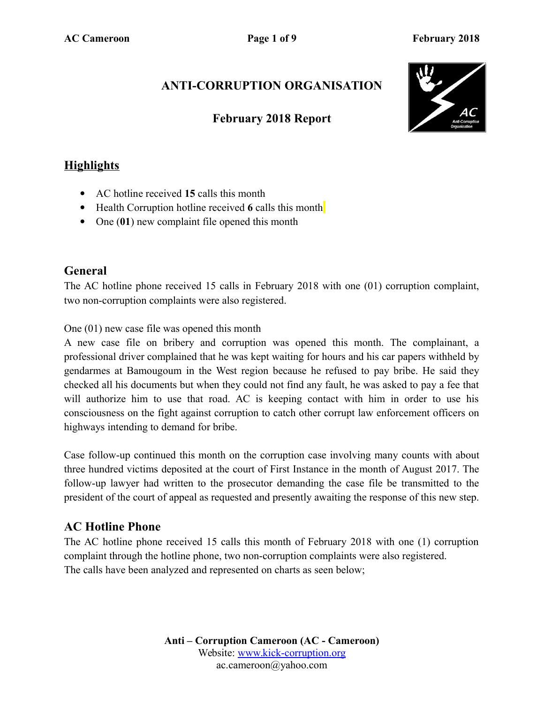# **ANTI-CORRUPTION ORGANISATION**

### **February 2018 Report**



## **Highlights**

- AC hotline received **15** calls this month
- Health Corruption hotline received 6 calls this month
- One (01) new complaint file opened this month

### **General**

The AC hotline phone received 15 calls in February 2018 with one (01) corruption complaint, two non-corruption complaints were also registered.

One (01) new case file was opened this month

A new case file on bribery and corruption was opened this month. The complainant, a professional driver complained that he was kept waiting for hours and his car papers withheld by gendarmes at Bamougoum in the West region because he refused to pay bribe. He said they checked all his documents but when they could not find any fault, he was asked to pay a fee that will authorize him to use that road. AC is keeping contact with him in order to use his consciousness on the fight against corruption to catch other corrupt law enforcement officers on highways intending to demand for bribe.

Case follow-up continued this month on the corruption case involving many counts with about three hundred victims deposited at the court of First Instance in the month of August 2017. The follow-up lawyer had written to the prosecutor demanding the case file be transmitted to the president of the court of appeal as requested and presently awaiting the response of this new step.

## **AC Hotline Phone**

The AC hotline phone received 15 calls this month of February 2018 with one (1) corruption complaint through the hotline phone, two non-corruption complaints were also registered. The calls have been analyzed and represented on charts as seen below;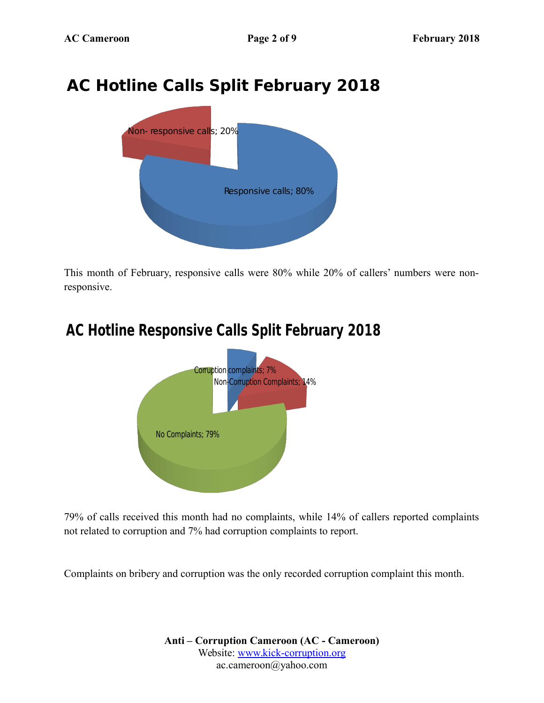# **AC Hotline Calls Split February 2018**



This month of February, responsive calls were 80% while 20% of callers' numbers were nonresponsive.

# **AC Hotline Responsive Calls Split February 2018**



79% of calls received this month had no complaints, while 14% of callers reported complaints not related to corruption and 7% had corruption complaints to report.

Complaints on bribery and corruption was the only recorded corruption complaint this month.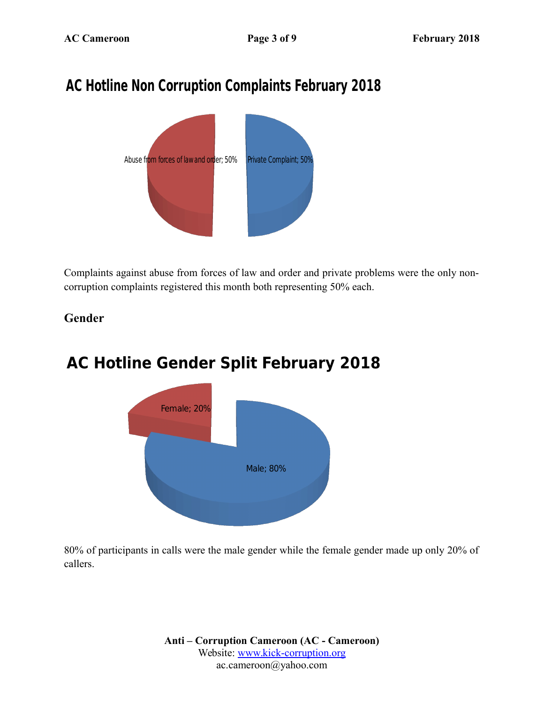# **AC Hotline Non Corruption Complaints February 2018**



Complaints against abuse from forces of law and order and private problems were the only noncorruption complaints registered this month both representing 50% each.

### **Gender**

# Female; 20% **AC Hotline Gender Split February 2018**



80% of participants in calls were the male gender while the female gender made up only 20% of callers.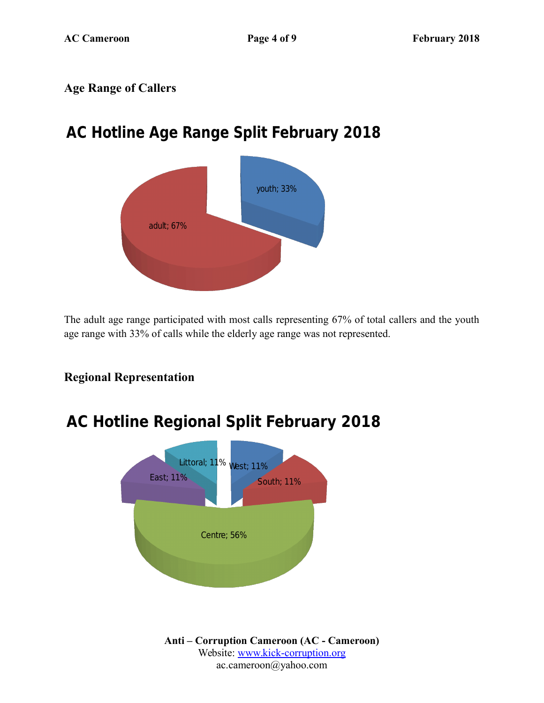### **Age Range of Callers**

# **AC Hotline Age Range Split February 2018**



The adult age range participated with most calls representing 67% of total callers and the youth age range with 33% of calls while the elderly age range was not represented.

### **Regional Representation**

# **AC Hotline Regional Split February 2018**

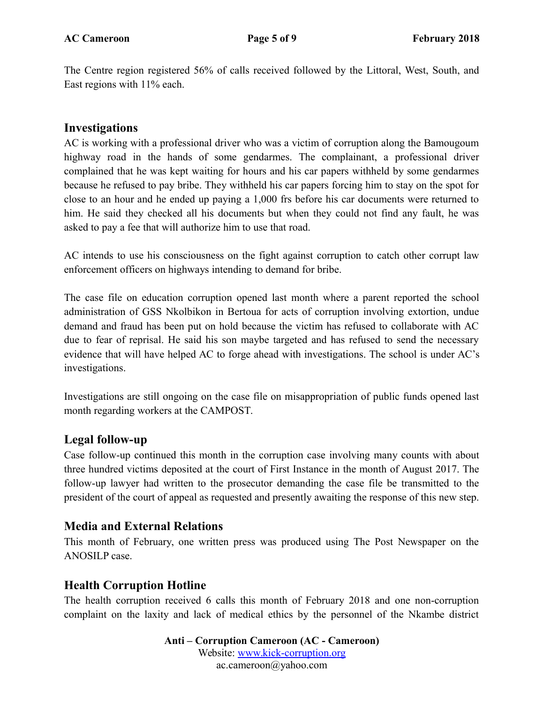The Centre region registered 56% of calls received followed by the Littoral, West, South, and East regions with 11% each.

#### **Investigations**

AC is working with a professional driver who was a victim of corruption along the Bamougoum highway road in the hands of some gendarmes. The complainant, a professional driver complained that he was kept waiting for hours and his car papers withheld by some gendarmes because he refused to pay bribe. They withheld his car papers forcing him to stay on the spot for close to an hour and he ended up paying a 1,000 frs before his car documents were returned to him. He said they checked all his documents but when they could not find any fault, he was asked to pay a fee that will authorize him to use that road.

AC intends to use his consciousness on the fight against corruption to catch other corrupt law enforcement officers on highways intending to demand for bribe.

The case file on education corruption opened last month where a parent reported the school administration of GSS Nkolbikon in Bertoua for acts of corruption involving extortion, undue demand and fraud has been put on hold because the victim has refused to collaborate with AC due to fear of reprisal. He said his son maybe targeted and has refused to send the necessary evidence that will have helped AC to forge ahead with investigations. The school is under AC's investigations.

Investigations are still ongoing on the case file on misappropriation of public funds opened last month regarding workers at the CAMPOST.

#### **Legal follow-up**

Case follow-up continued this month in the corruption case involving many counts with about three hundred victims deposited at the court of First Instance in the month of August 2017. The follow-up lawyer had written to the prosecutor demanding the case file be transmitted to the president of the court of appeal as requested and presently awaiting the response of this new step.

#### **Media and External Relations**

This month of February, one written press was produced using The Post Newspaper on the ANOSILP case.

#### **Health Corruption Hotline**

The health corruption received 6 calls this month of February 2018 and one non-corruption complaint on the laxity and lack of medical ethics by the personnel of the Nkambe district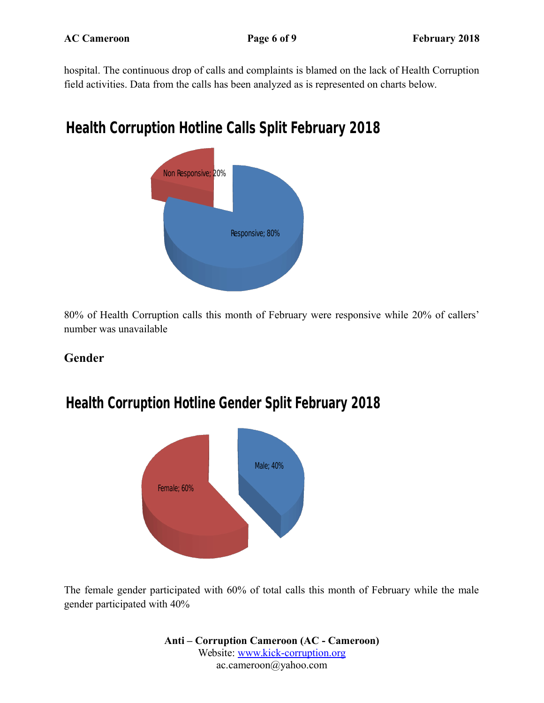hospital. The continuous drop of calls and complaints is blamed on the lack of Health Corruption field activities. Data from the calls has been analyzed as is represented on charts below.

# **Health Corruption Hotline Calls Split February 2018**



80% of Health Corruption calls this month of February were responsive while 20% of callers' number was unavailable

### **Gender**

# **Health Corruption Hotline Gender Split February 2018**



The female gender participated with 60% of total calls this month of February while the male gender participated with 40%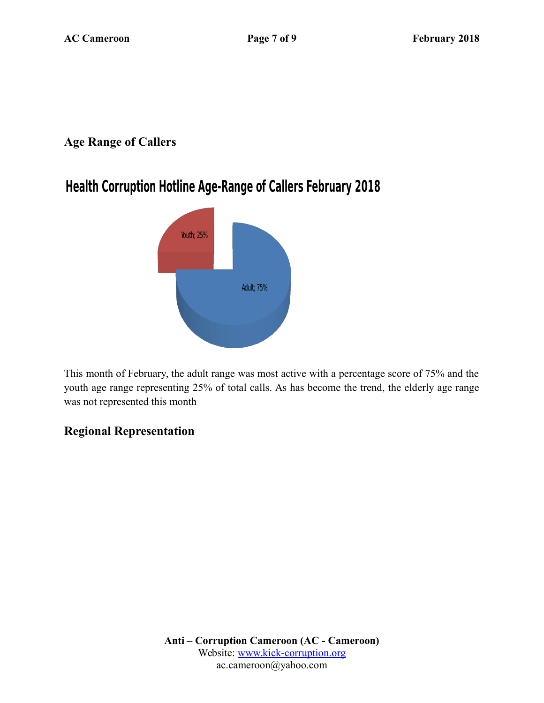### **Age Range of Callers**

# **Health Corruption Hotline Age-Range of Callers February 2018**



This month of February, the adult range was most active with a percentage score of 75% and the youth age range representing 25% of total calls. As has become the trend, the elderly age range was not represented this month

## **Regional Representation**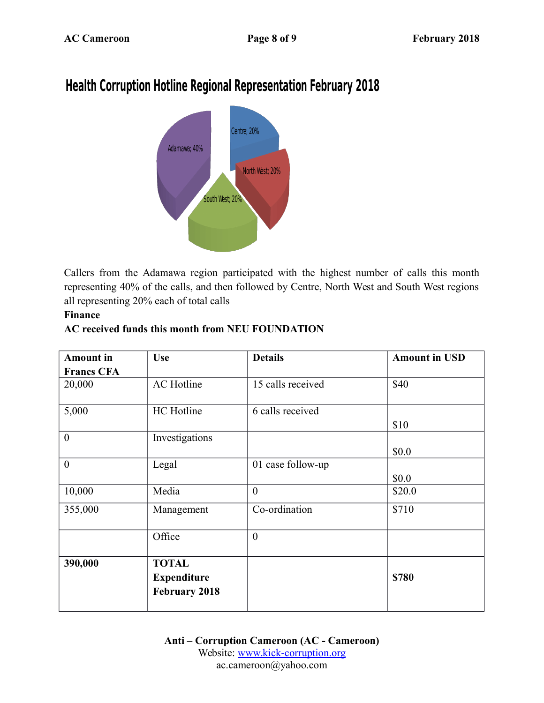# **Health Corruption Hotline Regional Representation February 2018**



Callers from the Adamawa region participated with the highest number of calls this month representing 40% of the calls, and then followed by Centre, North West and South West regions all representing 20% each of total calls

#### **Finance**

#### **AC received funds this month from NEU FOUNDATION**

| <b>Amount</b> in  | <b>Use</b>                                                 | <b>Details</b>    | <b>Amount in USD</b> |
|-------------------|------------------------------------------------------------|-------------------|----------------------|
| <b>Francs CFA</b> |                                                            |                   |                      |
| 20,000            | <b>AC</b> Hotline                                          | 15 calls received | \$40                 |
| 5,000             | HC Hotline                                                 | 6 calls received  | \$10                 |
| $\boldsymbol{0}$  | Investigations                                             |                   | \$0.0                |
| $\theta$          | Legal                                                      | 01 case follow-up | \$0.0                |
| 10,000            | Media                                                      | $\theta$          | \$20.0               |
| 355,000           | Management                                                 | Co-ordination     | \$710                |
|                   | Office                                                     | $\overline{0}$    |                      |
| 390,000           | <b>TOTAL</b><br><b>Expenditure</b><br><b>February 2018</b> |                   | \$780                |